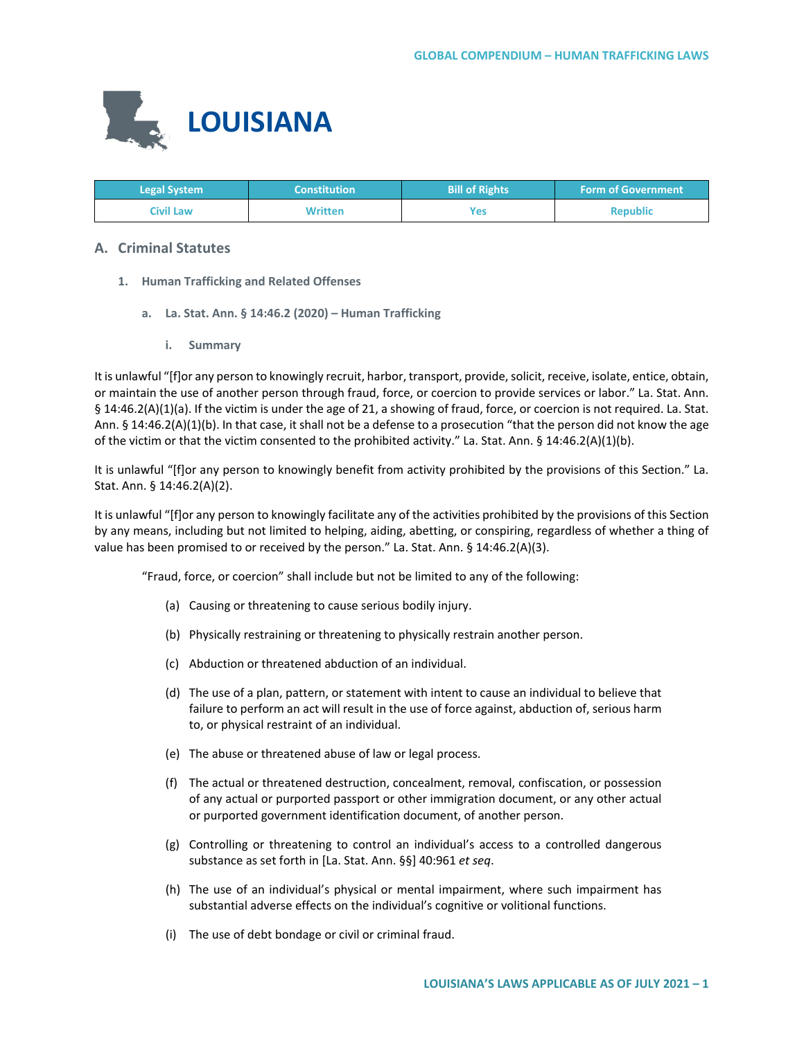

| <b>Legal System</b> | 'Constitution  | <b>Bill of Rights</b> | <b>Form of Government</b> |
|---------------------|----------------|-----------------------|---------------------------|
| Civil Law           | <b>Written</b> | <b>Yes</b>            | <b>Republic</b>           |

# **A. Criminal Statutes**

- **1. Human Trafficking and Related Offenses**
	- **a. La. Stat. Ann. § 14:46.2 (2020) – Human Trafficking**
		- **i. Summary**

It is unlawful "[f]or any person to knowingly recruit, harbor, transport, provide, solicit, receive, isolate, entice, obtain, or maintain the use of another person through fraud, force, or coercion to provide services or labor." La. Stat. Ann. § 14:46.2(A)(1)(a). If the victim is under the age of 21, a showing of fraud, force, or coercion is not required. La. Stat. Ann. § 14:46.2(A)(1)(b). In that case, it shall not be a defense to a prosecution "that the person did not know the age of the victim or that the victim consented to the prohibited activity." La. Stat. Ann. § 14:46.2(A)(1)(b).

It is unlawful "[f]or any person to knowingly benefit from activity prohibited by the provisions of this Section." La. Stat. Ann. § 14:46.2(A)(2).

It is unlawful "[f]or any person to knowingly facilitate any of the activities prohibited by the provisions of this Section by any means, including but not limited to helping, aiding, abetting, or conspiring, regardless of whether a thing of value has been promised to or received by the person." La. Stat. Ann. § 14:46.2(A)(3).

"Fraud, force, or coercion" shall include but not be limited to any of the following:

- (a) Causing or threatening to cause serious bodily injury.
- (b) Physically restraining or threatening to physically restrain another person.
- (c) Abduction or threatened abduction of an individual.
- (d) The use of a plan, pattern, or statement with intent to cause an individual to believe that failure to perform an act will result in the use of force against, abduction of, serious harm to, or physical restraint of an individual.
- (e) The abuse or threatened abuse of law or legal process.
- (f) The actual or threatened destruction, concealment, removal, confiscation, or possession of any actual or purported passport or other immigration document, or any other actual or purported government identification document, of another person.
- (g) Controlling or threatening to control an individual's access to a controlled dangerous substance as set forth in [La. Stat. Ann. §§] 40:961 *et seq*.
- (h) The use of an individual's physical or mental impairment, where such impairment has substantial adverse effects on the individual's cognitive or volitional functions.
- (i) The use of debt bondage or civil or criminal fraud.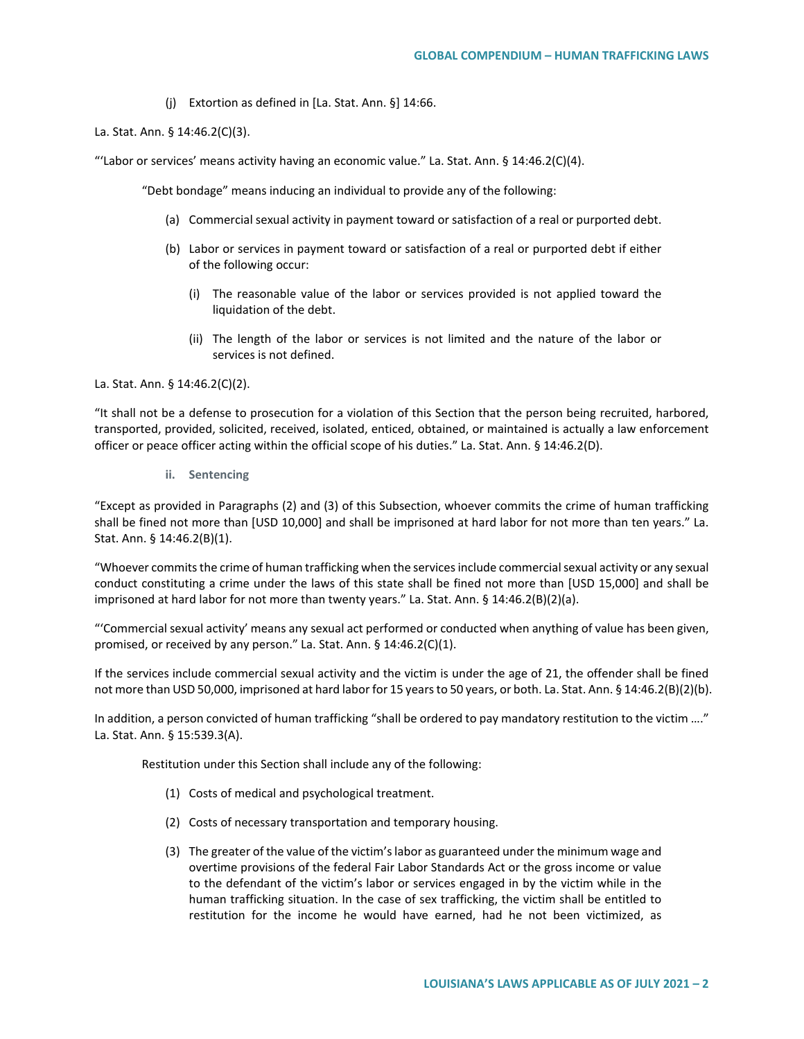(j) Extortion as defined in [La. Stat. Ann. §] 14:66.

La. Stat. Ann. § 14:46.2(C)(3).

"'Labor or services' means activity having an economic value." La. Stat. Ann. § 14:46.2(C)(4).

"Debt bondage" means inducing an individual to provide any of the following:

- (a) Commercial sexual activity in payment toward or satisfaction of a real or purported debt.
- (b) Labor or services in payment toward or satisfaction of a real or purported debt if either of the following occur:
	- (i) The reasonable value of the labor or services provided is not applied toward the liquidation of the debt.
	- (ii) The length of the labor or services is not limited and the nature of the labor or services is not defined.

La. Stat. Ann. § 14:46.2(C)(2).

"It shall not be a defense to prosecution for a violation of this Section that the person being recruited, harbored, transported, provided, solicited, received, isolated, enticed, obtained, or maintained is actually a law enforcement officer or peace officer acting within the official scope of his duties." La. Stat. Ann. § 14:46.2(D).

**ii. Sentencing**

"Except as provided in Paragraphs (2) and (3) of this Subsection, whoever commits the crime of human trafficking shall be fined not more than [USD 10,000] and shall be imprisoned at hard labor for not more than ten years." La. Stat. Ann. § 14:46.2(B)(1).

"Whoever commits the crime of human trafficking when the services include commercial sexual activity or any sexual conduct constituting a crime under the laws of this state shall be fined not more than [USD 15,000] and shall be imprisoned at hard labor for not more than twenty years." La. Stat. Ann. § 14:46.2(B)(2)(a).

"'Commercial sexual activity' means any sexual act performed or conducted when anything of value has been given, promised, or received by any person." La. Stat. Ann. § 14:46.2(C)(1).

If the services include commercial sexual activity and the victim is under the age of 21, the offender shall be fined not more than USD 50,000, imprisoned at hard labor for 15 years to 50 years, or both. La. Stat. Ann. § 14:46.2(B)(2)(b).

In addition, a person convicted of human trafficking "shall be ordered to pay mandatory restitution to the victim …." La. Stat. Ann. § 15:539.3(A).

Restitution under this Section shall include any of the following:

- (1) Costs of medical and psychological treatment.
- (2) Costs of necessary transportation and temporary housing.
- (3) The greater of the value of the victim's labor as guaranteed under the minimum wage and overtime provisions of the federal Fair Labor Standards Act or the gross income or value to the defendant of the victim's labor or services engaged in by the victim while in the human trafficking situation. In the case of sex trafficking, the victim shall be entitled to restitution for the income he would have earned, had he not been victimized, as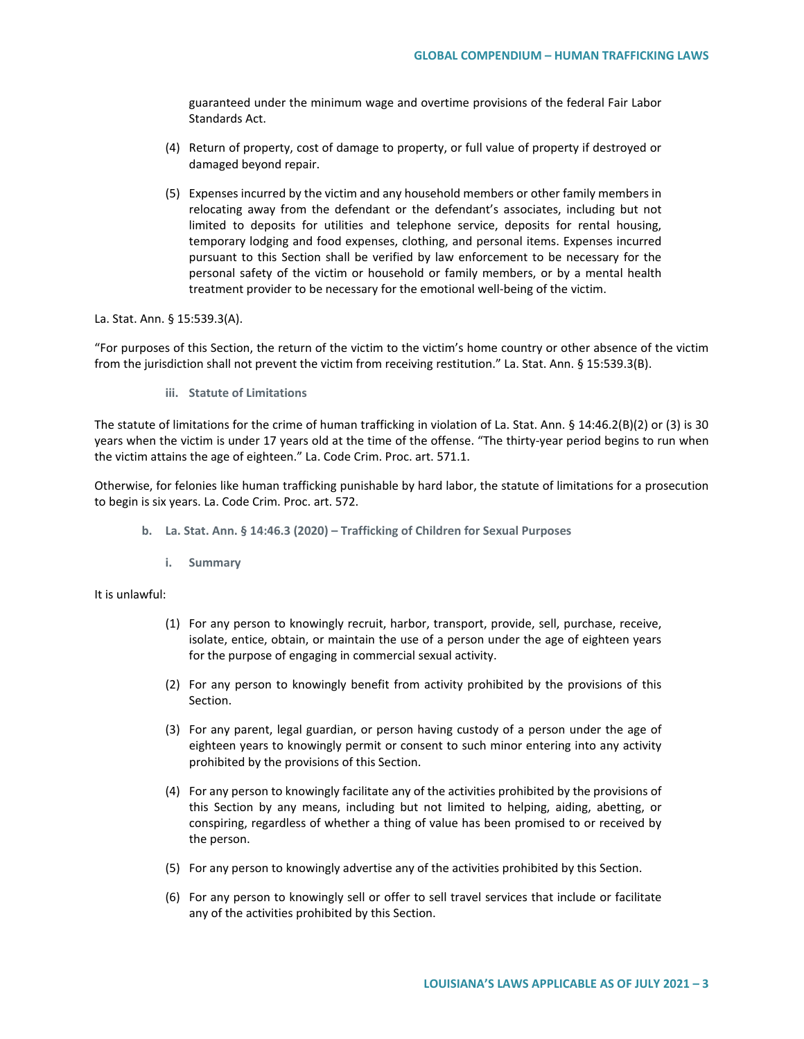guaranteed under the minimum wage and overtime provisions of the federal Fair Labor Standards Act.

- (4) Return of property, cost of damage to property, or full value of property if destroyed or damaged beyond repair.
- (5) Expenses incurred by the victim and any household members or other family members in relocating away from the defendant or the defendant's associates, including but not limited to deposits for utilities and telephone service, deposits for rental housing, temporary lodging and food expenses, clothing, and personal items. Expenses incurred pursuant to this Section shall be verified by law enforcement to be necessary for the personal safety of the victim or household or family members, or by a mental health treatment provider to be necessary for the emotional well-being of the victim.

La. Stat. Ann. § 15:539.3(A).

"For purposes of this Section, the return of the victim to the victim's home country or other absence of the victim from the jurisdiction shall not prevent the victim from receiving restitution." La. Stat. Ann. § 15:539.3(B).

**iii. Statute of Limitations**

The statute of limitations for the crime of human trafficking in violation of La. Stat. Ann. § 14:46.2(B)(2) or (3) is 30 years when the victim is under 17 years old at the time of the offense. "The thirty-year period begins to run when the victim attains the age of eighteen." La. Code Crim. Proc. art. 571.1.

Otherwise, for felonies like human trafficking punishable by hard labor, the statute of limitations for a prosecution to begin is six years. La. Code Crim. Proc. art. 572.

- **b. La. Stat. Ann. § 14:46.3 (2020) – Trafficking of Children for Sexual Purposes**
	- **i. Summary**

It is unlawful:

- (1) For any person to knowingly recruit, harbor, transport, provide, sell, purchase, receive, isolate, entice, obtain, or maintain the use of a person under the age of eighteen years for the purpose of engaging in commercial sexual activity.
- (2) For any person to knowingly benefit from activity prohibited by the provisions of this Section.
- (3) For any parent, legal guardian, or person having custody of a person under the age of eighteen years to knowingly permit or consent to such minor entering into any activity prohibited by the provisions of this Section.
- (4) For any person to knowingly facilitate any of the activities prohibited by the provisions of this Section by any means, including but not limited to helping, aiding, abetting, or conspiring, regardless of whether a thing of value has been promised to or received by the person.
- (5) For any person to knowingly advertise any of the activities prohibited by this Section.
- (6) For any person to knowingly sell or offer to sell travel services that include or facilitate any of the activities prohibited by this Section.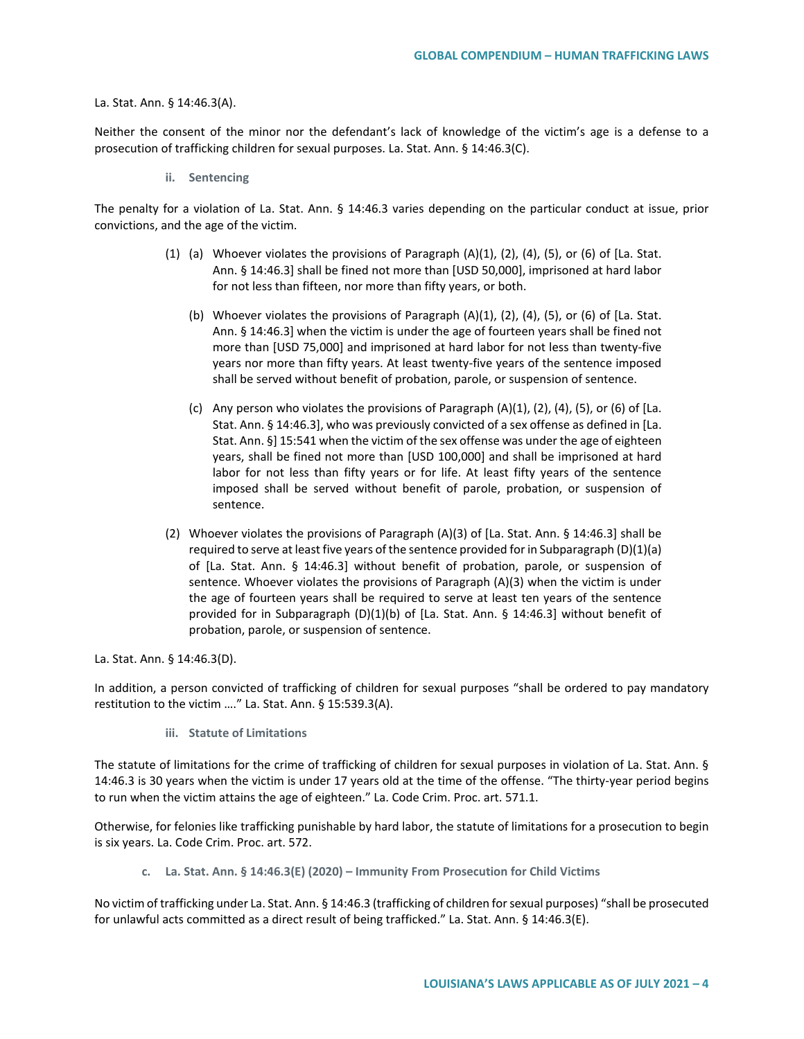#### La. Stat. Ann. § 14:46.3(A).

Neither the consent of the minor nor the defendant's lack of knowledge of the victim's age is a defense to a prosecution of trafficking children for sexual purposes. La. Stat. Ann. § 14:46.3(C).

**ii. Sentencing**

The penalty for a violation of La. Stat. Ann. § 14:46.3 varies depending on the particular conduct at issue, prior convictions, and the age of the victim.

- (1) (a) Whoever violates the provisions of Paragraph  $(A)(1)$ ,  $(2)$ ,  $(4)$ ,  $(5)$ , or  $(6)$  of [La. Stat. Ann. § 14:46.3] shall be fined not more than [USD 50,000], imprisoned at hard labor for not less than fifteen, nor more than fifty years, or both.
	- (b) Whoever violates the provisions of Paragraph (A)(1), (2), (4), (5), or (6) of [La. Stat. Ann. § 14:46.3] when the victim is under the age of fourteen years shall be fined not more than [USD 75,000] and imprisoned at hard labor for not less than twenty-five years nor more than fifty years. At least twenty-five years of the sentence imposed shall be served without benefit of probation, parole, or suspension of sentence.
	- (c) Any person who violates the provisions of Paragraph  $(A)(1)$ ,  $(2)$ ,  $(4)$ ,  $(5)$ , or  $(6)$  of [La. Stat. Ann. § 14:46.3], who was previously convicted of a sex offense as defined in [La. Stat. Ann. §] 15:541 when the victim of the sex offense was under the age of eighteen years, shall be fined not more than [USD 100,000] and shall be imprisoned at hard labor for not less than fifty years or for life. At least fifty years of the sentence imposed shall be served without benefit of parole, probation, or suspension of sentence.
- (2) Whoever violates the provisions of Paragraph (A)(3) of [La. Stat. Ann. § 14:46.3] shall be required to serve at least five years of the sentence provided for in Subparagraph (D)(1)(a) of [La. Stat. Ann. § 14:46.3] without benefit of probation, parole, or suspension of sentence. Whoever violates the provisions of Paragraph (A)(3) when the victim is under the age of fourteen years shall be required to serve at least ten years of the sentence provided for in Subparagraph (D)(1)(b) of [La. Stat. Ann. § 14:46.3] without benefit of probation, parole, or suspension of sentence.

La. Stat. Ann. § 14:46.3(D).

In addition, a person convicted of trafficking of children for sexual purposes "shall be ordered to pay mandatory restitution to the victim …." La. Stat. Ann. § 15:539.3(A).

**iii. Statute of Limitations**

The statute of limitations for the crime of trafficking of children for sexual purposes in violation of La. Stat. Ann. § 14:46.3 is 30 years when the victim is under 17 years old at the time of the offense. "The thirty-year period begins to run when the victim attains the age of eighteen." La. Code Crim. Proc. art. 571.1.

Otherwise, for felonies like trafficking punishable by hard labor, the statute of limitations for a prosecution to begin is six years. La. Code Crim. Proc. art. 572.

**c. La. Stat. Ann. § 14:46.3(E) (2020) – Immunity From Prosecution for Child Victims**

No victim of trafficking under La. Stat. Ann. § 14:46.3 (trafficking of children for sexual purposes) "shall be prosecuted for unlawful acts committed as a direct result of being trafficked." La. Stat. Ann. § 14:46.3(E).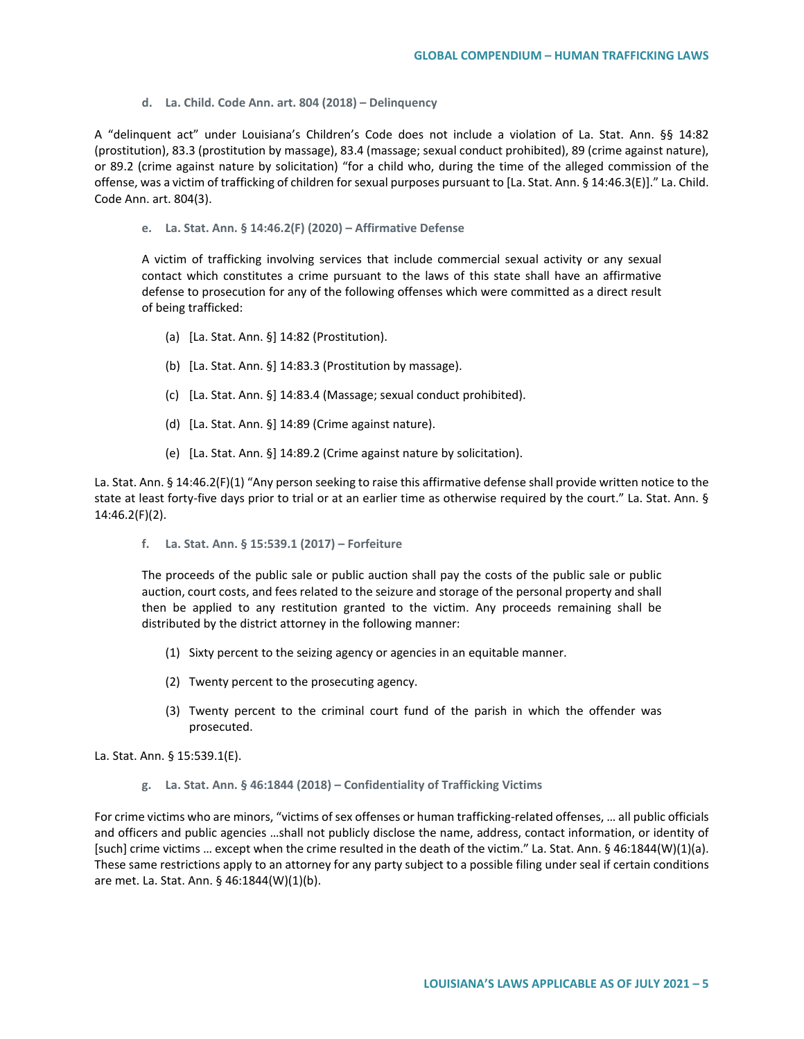**d. La. Child. Code Ann. art. 804 (2018) – Delinquency** 

A "delinquent act" under Louisiana's Children's Code does not include a violation of La. Stat. Ann. §§ 14:82 (prostitution), 83.3 (prostitution by massage), 83.4 (massage; sexual conduct prohibited), 89 (crime against nature), or 89.2 (crime against nature by solicitation) "for a child who, during the time of the alleged commission of the offense, was a victim of trafficking of children for sexual purposes pursuant to [La. Stat. Ann. § 14:46.3(E)]." La. Child. Code Ann. art. 804(3).

**e. La. Stat. Ann. § 14:46.2(F) (2020) – Affirmative Defense**

A victim of trafficking involving services that include commercial sexual activity or any sexual contact which constitutes a crime pursuant to the laws of this state shall have an affirmative defense to prosecution for any of the following offenses which were committed as a direct result of being trafficked:

- (a) [La. Stat. Ann. §] 14:82 (Prostitution).
- (b) [La. Stat. Ann. §] 14:83.3 (Prostitution by massage).
- (c) [La. Stat. Ann. §] 14:83.4 (Massage; sexual conduct prohibited).
- (d) [La. Stat. Ann. §] 14:89 (Crime against nature).
- (e) [La. Stat. Ann. §] 14:89.2 (Crime against nature by solicitation).

La. Stat. Ann. § 14:46.2(F)(1) "Any person seeking to raise this affirmative defense shall provide written notice to the state at least forty-five days prior to trial or at an earlier time as otherwise required by the court." La. Stat. Ann. § 14:46.2(F)(2).

**f. La. Stat. Ann. § 15:539.1 (2017) – Forfeiture** 

The proceeds of the public sale or public auction shall pay the costs of the public sale or public auction, court costs, and fees related to the seizure and storage of the personal property and shall then be applied to any restitution granted to the victim. Any proceeds remaining shall be distributed by the district attorney in the following manner:

- (1) Sixty percent to the seizing agency or agencies in an equitable manner.
- (2) Twenty percent to the prosecuting agency.
- (3) Twenty percent to the criminal court fund of the parish in which the offender was prosecuted.

La. Stat. Ann. § 15:539.1(E).

**g. La. Stat. Ann. § 46:1844 (2018) – Confidentiality of Trafficking Victims** 

For crime victims who are minors, "victims of sex offenses or human trafficking-related offenses, … all public officials and officers and public agencies …shall not publicly disclose the name, address, contact information, or identity of [such] crime victims … except when the crime resulted in the death of the victim." La. Stat. Ann. § 46:1844(W)(1)(a). These same restrictions apply to an attorney for any party subject to a possible filing under seal if certain conditions are met. La. Stat. Ann. § 46:1844(W)(1)(b).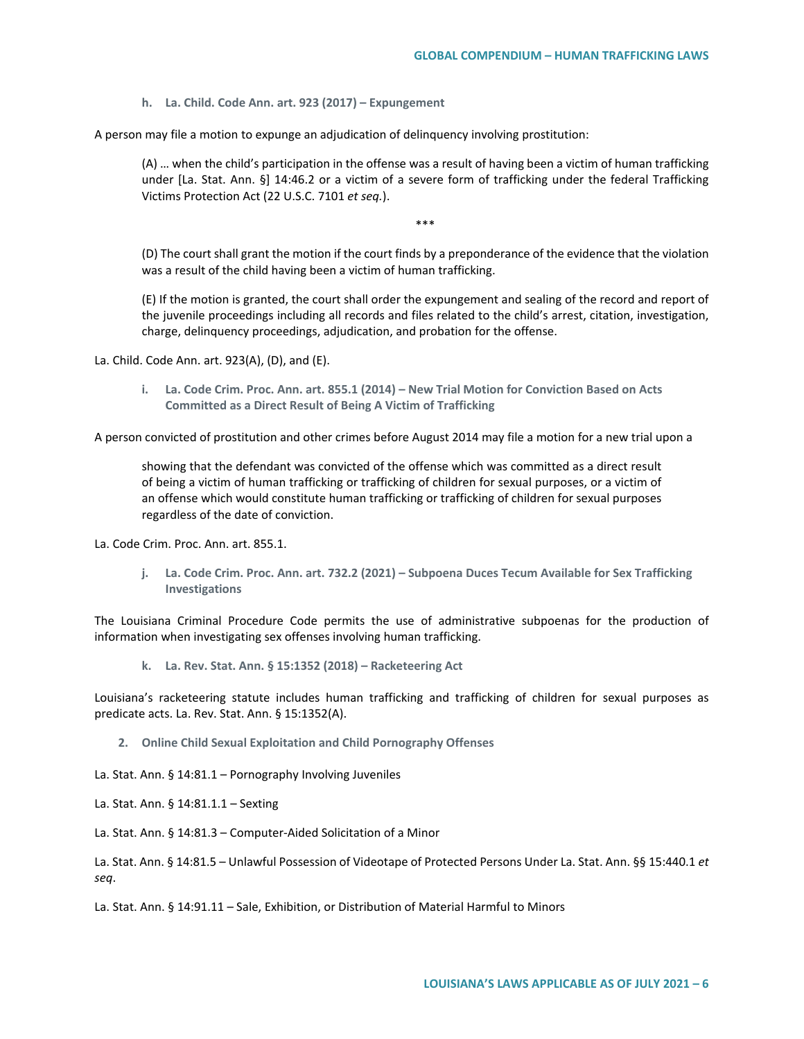**h. La. Child. Code Ann. art. 923 (2017) – Expungement** 

A person may file a motion to expunge an adjudication of delinquency involving prostitution:

(A) … when the child's participation in the offense was a result of having been a victim of human trafficking under [La. Stat. Ann. §] 14:46.2 or a victim of a severe form of trafficking under the federal Trafficking Victims Protection Act (22 U.S.C. 7101 *et seq.*).

\*\*\*

(D) The court shall grant the motion if the court finds by a preponderance of the evidence that the violation was a result of the child having been a victim of human trafficking.

(E) If the motion is granted, the court shall order the expungement and sealing of the record and report of the juvenile proceedings including all records and files related to the child's arrest, citation, investigation, charge, delinquency proceedings, adjudication, and probation for the offense.

La. Child. Code Ann. art. 923(A), (D), and (E).

**i. La. Code Crim. Proc. Ann. art. 855.1 (2014) – New Trial Motion for Conviction Based on Acts Committed as a Direct Result of Being A Victim of Trafficking**

A person convicted of prostitution and other crimes before August 2014 may file a motion for a new trial upon a

showing that the defendant was convicted of the offense which was committed as a direct result of being a victim of human trafficking or trafficking of children for sexual purposes, or a victim of an offense which would constitute human trafficking or trafficking of children for sexual purposes regardless of the date of conviction.

La. Code Crim. Proc. Ann. art. 855.1.

**j. La. Code Crim. Proc. Ann. art. 732.2 (2021) – Subpoena Duces Tecum Available for Sex Trafficking Investigations**

The Louisiana Criminal Procedure Code permits the use of administrative subpoenas for the production of information when investigating sex offenses involving human trafficking.

**k. La. Rev. Stat. Ann. § 15:1352 (2018) – Racketeering Act**

Louisiana's racketeering statute includes human trafficking and trafficking of children for sexual purposes as predicate acts. La. Rev. Stat. Ann. § 15:1352(A).

**2. Online Child Sexual Exploitation and Child Pornography Offenses**

La. Stat. Ann. § 14:81.1 – Pornography Involving Juveniles

La. Stat. Ann. § 14:81.1.1 – Sexting

La. Stat. Ann. § 14:81.3 – Computer-Aided Solicitation of a Minor

La. Stat. Ann. § 14:81.5 – Unlawful Possession of Videotape of Protected Persons Under La. Stat. Ann. §§ 15:440.1 *et seq*.

La. Stat. Ann. § 14:91.11 – Sale, Exhibition, or Distribution of Material Harmful to Minors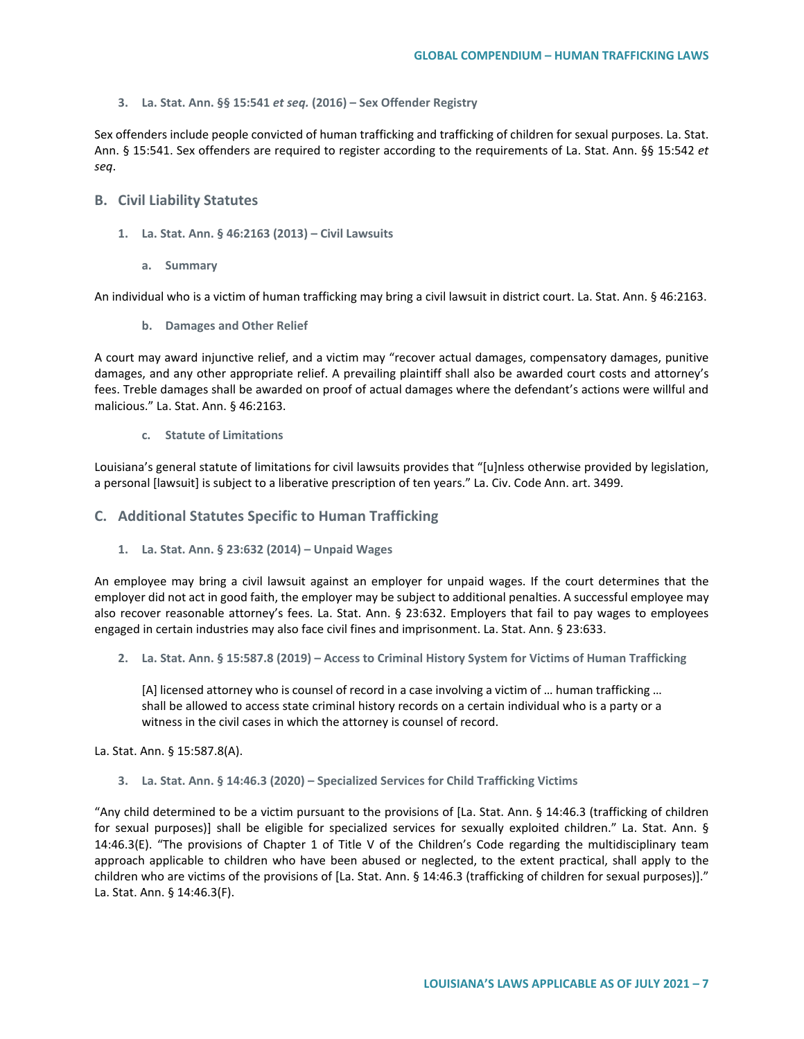#### **3. La. Stat. Ann. §§ 15:541** *et seq.* **(2016) – Sex Offender Registry**

Sex offenders include people convicted of human trafficking and trafficking of children for sexual purposes. La. Stat. Ann. § 15:541. Sex offenders are required to register according to the requirements of La. Stat. Ann. §§ 15:542 *et seq*.

## **B. Civil Liability Statutes**

- **1. La. Stat. Ann. § 46:2163 (2013) – Civil Lawsuits**
	- **a. Summary**

An individual who is a victim of human trafficking may bring a civil lawsuit in district court. La. Stat. Ann. § 46:2163.

**b. Damages and Other Relief**

A court may award injunctive relief, and a victim may "recover actual damages, compensatory damages, punitive damages, and any other appropriate relief. A prevailing plaintiff shall also be awarded court costs and attorney's fees. Treble damages shall be awarded on proof of actual damages where the defendant's actions were willful and malicious." La. Stat. Ann. § 46:2163.

### **c. Statute of Limitations**

Louisiana's general statute of limitations for civil lawsuits provides that "[u]nless otherwise provided by legislation, a personal [lawsuit] is subject to a liberative prescription of ten years." La. Civ. Code Ann. art. 3499.

# **C. Additional Statutes Specific to Human Trafficking**

**1. La. Stat. Ann. § 23:632 (2014) – Unpaid Wages**

An employee may bring a civil lawsuit against an employer for unpaid wages. If the court determines that the employer did not act in good faith, the employer may be subject to additional penalties. A successful employee may also recover reasonable attorney's fees. La. Stat. Ann. § 23:632. Employers that fail to pay wages to employees engaged in certain industries may also face civil fines and imprisonment. La. Stat. Ann. § 23:633.

**2. La. Stat. Ann. § 15:587.8 (2019) – Access to Criminal History System for Victims of Human Trafficking**

[A] licensed attorney who is counsel of record in a case involving a victim of … human trafficking … shall be allowed to access state criminal history records on a certain individual who is a party or a witness in the civil cases in which the attorney is counsel of record.

La. Stat. Ann. § 15:587.8(A).

**3. La. Stat. Ann. § 14:46.3 (2020) – Specialized Services for Child Trafficking Victims**

"Any child determined to be a victim pursuant to the provisions of [La. Stat. Ann. § 14:46.3 (trafficking of children for sexual purposes)] shall be eligible for specialized services for sexually exploited children." La. Stat. Ann. § 14:46.3(E). "The provisions of Chapter 1 of Title V of the Children's Code regarding the multidisciplinary team approach applicable to children who have been abused or neglected, to the extent practical, shall apply to the children who are victims of the provisions of [La. Stat. Ann. § 14:46.3 (trafficking of children for sexual purposes)]." La. Stat. Ann. § 14:46.3(F).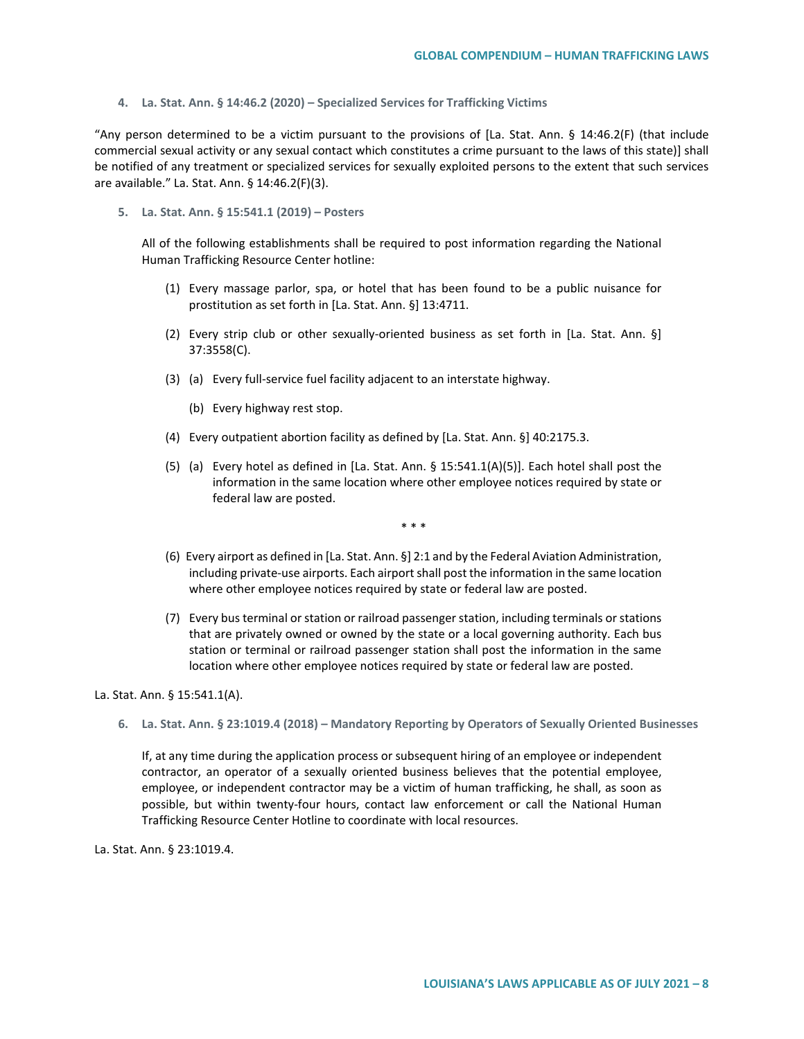**4. La. Stat. Ann. § 14:46.2 (2020) – Specialized Services for Trafficking Victims**

"Any person determined to be a victim pursuant to the provisions of [La. Stat. Ann. § 14:46.2(F) (that include commercial sexual activity or any sexual contact which constitutes a crime pursuant to the laws of this state)] shall be notified of any treatment or specialized services for sexually exploited persons to the extent that such services are available." La. Stat. Ann. § 14:46.2(F)(3).

**5. La. Stat. Ann. § 15:541.1 (2019) – Posters**

All of the following establishments shall be required to post information regarding the National Human Trafficking Resource Center hotline:

- (1) Every massage parlor, spa, or hotel that has been found to be a public nuisance for prostitution as set forth in [La. Stat. Ann. §] 13:4711.
- (2) Every strip club or other sexually-oriented business as set forth in [La. Stat. Ann. §] 37:3558(C).
- (3) (a) Every full-service fuel facility adjacent to an interstate highway.
	- (b) Every highway rest stop.
- (4) Every outpatient abortion facility as defined by [La. Stat. Ann. §] 40:2175.3.
- (5) (a) Every hotel as defined in [La. Stat. Ann. § 15:541.1(A)(5)]. Each hotel shall post the information in the same location where other employee notices required by state or federal law are posted.
	- \* \* \*
- (6) Every airport as defined in [La. Stat. Ann. §] 2:1 and by the Federal Aviation Administration, including private-use airports. Each airport shall post the information in the same location where other employee notices required by state or federal law are posted.
- (7) Every bus terminal or station or railroad passenger station, including terminals or stations that are privately owned or owned by the state or a local governing authority. Each bus station or terminal or railroad passenger station shall post the information in the same location where other employee notices required by state or federal law are posted.

La. Stat. Ann. § 15:541.1(A).

**6. La. Stat. Ann. § 23:1019.4 (2018) – Mandatory Reporting by Operators of Sexually Oriented Businesses**

If, at any time during the application process or subsequent hiring of an employee or independent contractor, an operator of a sexually oriented business believes that the potential employee, employee, or independent contractor may be a victim of human trafficking, he shall, as soon as possible, but within twenty-four hours, contact law enforcement or call the National Human Trafficking Resource Center Hotline to coordinate with local resources.

La. Stat. Ann. § 23:1019.4.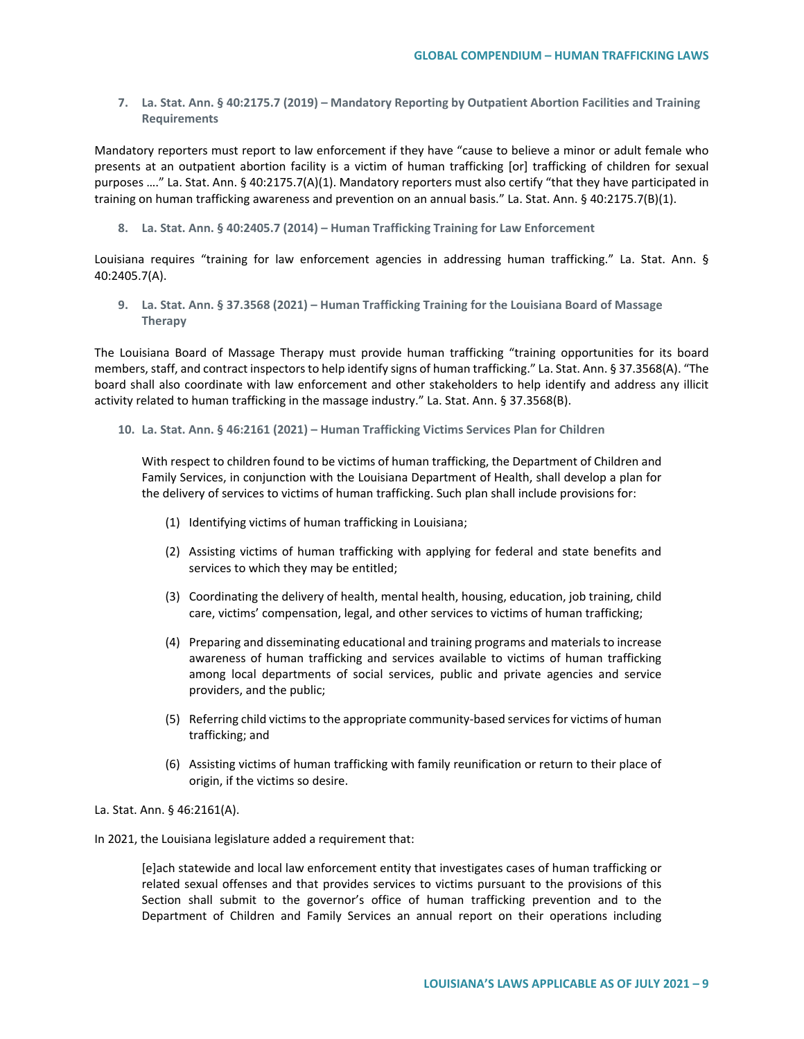**7. La. Stat. Ann. § 40:2175.7 (2019) – Mandatory Reporting by Outpatient Abortion Facilities and Training Requirements** 

Mandatory reporters must report to law enforcement if they have "cause to believe a minor or adult female who presents at an outpatient abortion facility is a victim of human trafficking [or] trafficking of children for sexual purposes …." La. Stat. Ann. § 40:2175.7(A)(1). Mandatory reporters must also certify "that they have participated in training on human trafficking awareness and prevention on an annual basis." La. Stat. Ann. § 40:2175.7(B)(1).

**8. La. Stat. Ann. § 40:2405.7 (2014) – Human Trafficking Training for Law Enforcement**

Louisiana requires "training for law enforcement agencies in addressing human trafficking." La. Stat. Ann. § 40:2405.7(A).

**9. La. Stat. Ann. § 37.3568 (2021) – Human Trafficking Training for the Louisiana Board of Massage Therapy**

The Louisiana Board of Massage Therapy must provide human trafficking "training opportunities for its board members, staff, and contract inspectors to help identify signs of human trafficking." La. Stat. Ann. § 37.3568(A). "The board shall also coordinate with law enforcement and other stakeholders to help identify and address any illicit activity related to human trafficking in the massage industry." La. Stat. Ann. § 37.3568(B).

**10. La. Stat. Ann. § 46:2161 (2021) – Human Trafficking Victims Services Plan for Children**

With respect to children found to be victims of human trafficking, the Department of Children and Family Services, in conjunction with the Louisiana Department of Health, shall develop a plan for the delivery of services to victims of human trafficking. Such plan shall include provisions for:

- (1) Identifying victims of human trafficking in Louisiana;
- (2) Assisting victims of human trafficking with applying for federal and state benefits and services to which they may be entitled;
- (3) Coordinating the delivery of health, mental health, housing, education, job training, child care, victims' compensation, legal, and other services to victims of human trafficking;
- (4) Preparing and disseminating educational and training programs and materials to increase awareness of human trafficking and services available to victims of human trafficking among local departments of social services, public and private agencies and service providers, and the public;
- (5) Referring child victims to the appropriate community-based services for victims of human trafficking; and
- (6) Assisting victims of human trafficking with family reunification or return to their place of origin, if the victims so desire.

La. Stat. Ann. § 46:2161(A).

In 2021, the Louisiana legislature added a requirement that:

[e]ach statewide and local law enforcement entity that investigates cases of human trafficking or related sexual offenses and that provides services to victims pursuant to the provisions of this Section shall submit to the governor's office of human trafficking prevention and to the Department of Children and Family Services an annual report on their operations including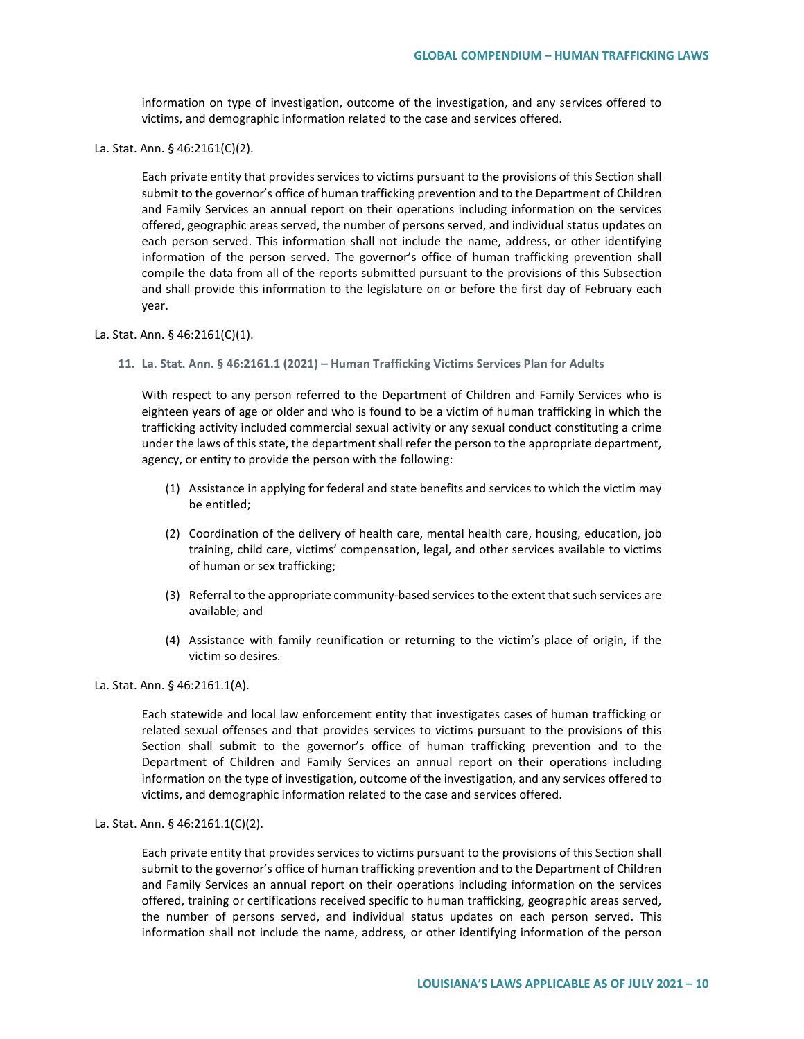information on type of investigation, outcome of the investigation, and any services offered to victims, and demographic information related to the case and services offered.

La. Stat. Ann. § 46:2161(C)(2).

Each private entity that provides services to victims pursuant to the provisions of this Section shall submit to the governor's office of human trafficking prevention and to the Department of Children and Family Services an annual report on their operations including information on the services offered, geographic areas served, the number of persons served, and individual status updates on each person served. This information shall not include the name, address, or other identifying information of the person served. The governor's office of human trafficking prevention shall compile the data from all of the reports submitted pursuant to the provisions of this Subsection and shall provide this information to the legislature on or before the first day of February each year.

#### La. Stat. Ann. § 46:2161(C)(1).

**11. La. Stat. Ann. § 46:2161.1 (2021) – Human Trafficking Victims Services Plan for Adults**

With respect to any person referred to the Department of Children and Family Services who is eighteen years of age or older and who is found to be a victim of human trafficking in which the trafficking activity included commercial sexual activity or any sexual conduct constituting a crime under the laws of this state, the department shall refer the person to the appropriate department, agency, or entity to provide the person with the following:

- (1) Assistance in applying for federal and state benefits and services to which the victim may be entitled;
- (2) Coordination of the delivery of health care, mental health care, housing, education, job training, child care, victims' compensation, legal, and other services available to victims of human or sex trafficking;
- (3) Referral to the appropriate community-based services to the extent that such services are available; and
- (4) Assistance with family reunification or returning to the victim's place of origin, if the victim so desires.

La. Stat. Ann. § 46:2161.1(A).

Each statewide and local law enforcement entity that investigates cases of human trafficking or related sexual offenses and that provides services to victims pursuant to the provisions of this Section shall submit to the governor's office of human trafficking prevention and to the Department of Children and Family Services an annual report on their operations including information on the type of investigation, outcome of the investigation, and any services offered to victims, and demographic information related to the case and services offered.

La. Stat. Ann. § 46:2161.1(C)(2).

Each private entity that provides services to victims pursuant to the provisions of this Section shall submit to the governor's office of human trafficking prevention and to the Department of Children and Family Services an annual report on their operations including information on the services offered, training or certifications received specific to human trafficking, geographic areas served, the number of persons served, and individual status updates on each person served. This information shall not include the name, address, or other identifying information of the person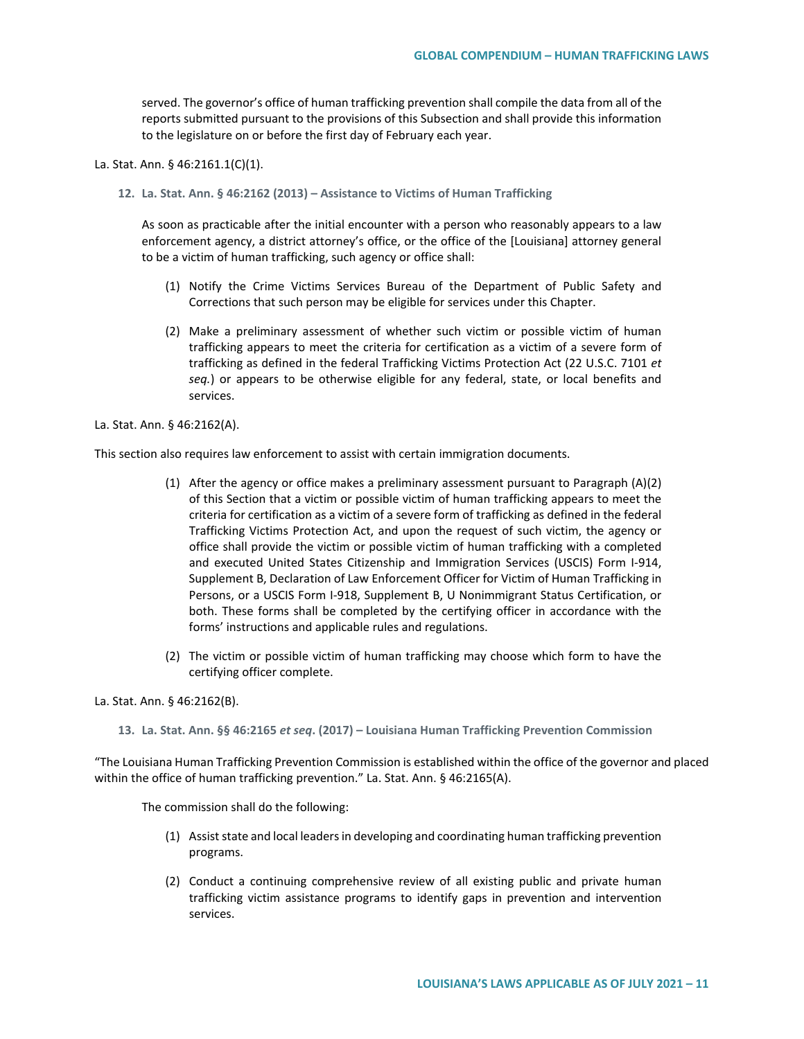served. The governor's office of human trafficking prevention shall compile the data from all of the reports submitted pursuant to the provisions of this Subsection and shall provide this information to the legislature on or before the first day of February each year.

La. Stat. Ann. § 46:2161.1(C)(1).

**12. La. Stat. Ann. § 46:2162 (2013) – Assistance to Victims of Human Trafficking**

As soon as practicable after the initial encounter with a person who reasonably appears to a law enforcement agency, a district attorney's office, or the office of the [Louisiana] attorney general to be a victim of human trafficking, such agency or office shall:

- (1) Notify the Crime Victims Services Bureau of the Department of Public Safety and Corrections that such person may be eligible for services under this Chapter.
- (2) Make a preliminary assessment of whether such victim or possible victim of human trafficking appears to meet the criteria for certification as a victim of a severe form of trafficking as defined in the federal Trafficking Victims Protection Act (22 U.S.C. 7101 *et seq.*) or appears to be otherwise eligible for any federal, state, or local benefits and services.

La. Stat. Ann. § 46:2162(A).

This section also requires law enforcement to assist with certain immigration documents.

- (1) After the agency or office makes a preliminary assessment pursuant to Paragraph (A)(2) of this Section that a victim or possible victim of human trafficking appears to meet the criteria for certification as a victim of a severe form of trafficking as defined in the federal Trafficking Victims Protection Act, and upon the request of such victim, the agency or office shall provide the victim or possible victim of human trafficking with a completed and executed United States Citizenship and Immigration Services (USCIS) Form I-914, Supplement B, Declaration of Law Enforcement Officer for Victim of Human Trafficking in Persons, or a USCIS Form I-918, Supplement B, U Nonimmigrant Status Certification, or both. These forms shall be completed by the certifying officer in accordance with the forms' instructions and applicable rules and regulations.
- (2) The victim or possible victim of human trafficking may choose which form to have the certifying officer complete.

#### La. Stat. Ann. § 46:2162(B).

**13. La. Stat. Ann. §§ 46:2165** *et seq***. (2017) – Louisiana Human Trafficking Prevention Commission**

"The Louisiana Human Trafficking Prevention Commission is established within the office of the governor and placed within the office of human trafficking prevention." La. Stat. Ann. § 46:2165(A).

The commission shall do the following:

- (1) Assist state and local leaders in developing and coordinating human trafficking prevention programs.
- (2) Conduct a continuing comprehensive review of all existing public and private human trafficking victim assistance programs to identify gaps in prevention and intervention services.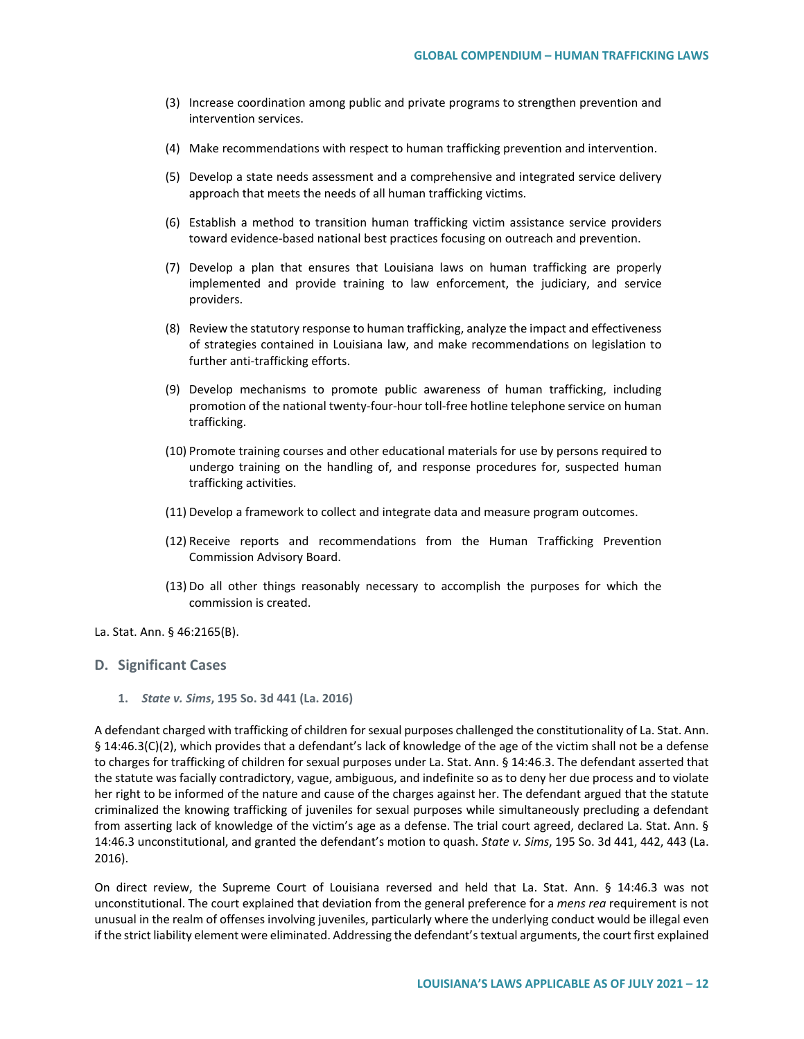- (3) Increase coordination among public and private programs to strengthen prevention and intervention services.
- (4) Make recommendations with respect to human trafficking prevention and intervention.
- (5) Develop a state needs assessment and a comprehensive and integrated service delivery approach that meets the needs of all human trafficking victims.
- (6) Establish a method to transition human trafficking victim assistance service providers toward evidence-based national best practices focusing on outreach and prevention.
- (7) Develop a plan that ensures that Louisiana laws on human trafficking are properly implemented and provide training to law enforcement, the judiciary, and service providers.
- (8) Review the statutory response to human trafficking, analyze the impact and effectiveness of strategies contained in Louisiana law, and make recommendations on legislation to further anti-trafficking efforts.
- (9) Develop mechanisms to promote public awareness of human trafficking, including promotion of the national twenty-four-hour toll-free hotline telephone service on human trafficking.
- (10) Promote training courses and other educational materials for use by persons required to undergo training on the handling of, and response procedures for, suspected human trafficking activities.
- (11) Develop a framework to collect and integrate data and measure program outcomes.
- (12) Receive reports and recommendations from the Human Trafficking Prevention Commission Advisory Board.
- (13) Do all other things reasonably necessary to accomplish the purposes for which the commission is created.
- La. Stat. Ann. § 46:2165(B).

# **D. Significant Cases**

**1.** *State v. Sims***, 195 So. 3d 441 (La. 2016)** 

A defendant charged with trafficking of children for sexual purposes challenged the constitutionality of La. Stat. Ann. § 14:46.3(C)(2), which provides that a defendant's lack of knowledge of the age of the victim shall not be a defense to charges for trafficking of children for sexual purposes under La. Stat. Ann. § 14:46.3. The defendant asserted that the statute was facially contradictory, vague, ambiguous, and indefinite so as to deny her due process and to violate her right to be informed of the nature and cause of the charges against her. The defendant argued that the statute criminalized the knowing trafficking of juveniles for sexual purposes while simultaneously precluding a defendant from asserting lack of knowledge of the victim's age as a defense. The trial court agreed, declared La. Stat. Ann. § 14:46.3 unconstitutional, and granted the defendant's motion to quash. *State v. Sims*, 195 So. 3d 441, 442, 443 (La. 2016).

On direct review, the Supreme Court of Louisiana reversed and held that La. Stat. Ann. § 14:46.3 was not unconstitutional. The court explained that deviation from the general preference for a *mens rea* requirement is not unusual in the realm of offenses involving juveniles, particularly where the underlying conduct would be illegal even if the strict liability element were eliminated. Addressing the defendant's textual arguments, the court first explained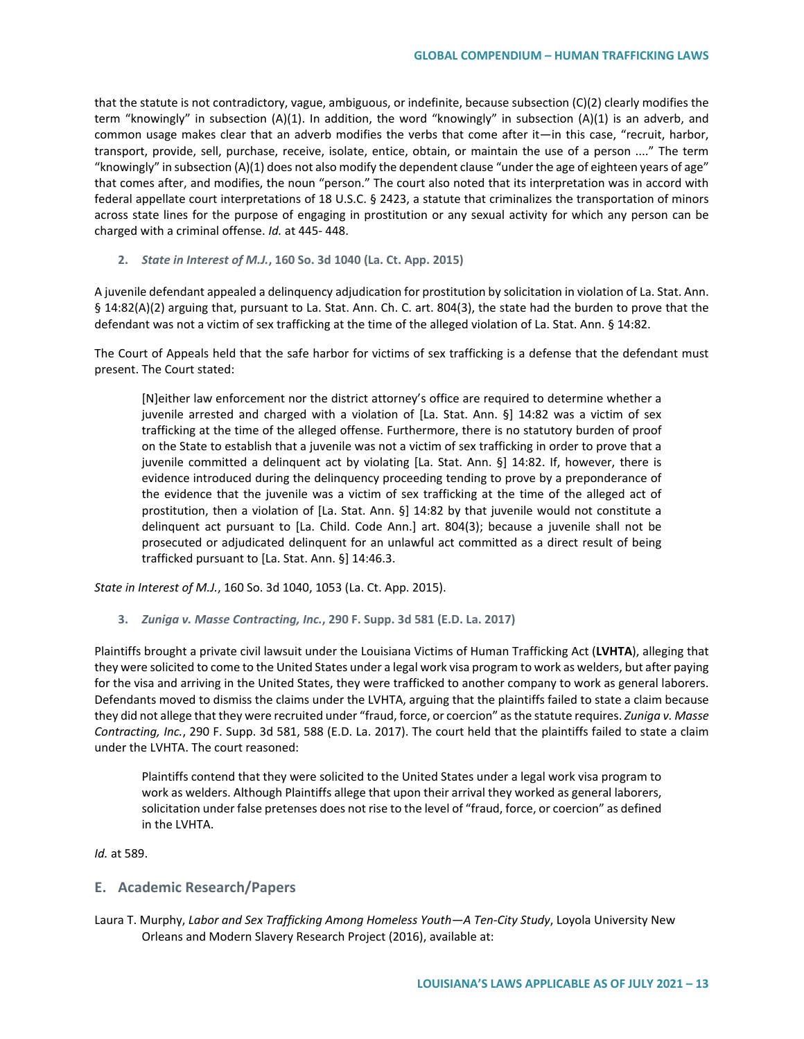that the statute is not contradictory, vague, ambiguous, or indefinite, because subsection (C)(2) clearly modifies the term "knowingly" in subsection (A)(1). In addition, the word "knowingly" in subsection (A)(1) is an adverb, and common usage makes clear that an adverb modifies the verbs that come after it—in this case, "recruit, harbor, transport, provide, sell, purchase, receive, isolate, entice, obtain, or maintain the use of a person ...." The term "knowingly" in subsection (A)(1) does not also modify the dependent clause "under the age of eighteen years of age" that comes after, and modifies, the noun "person." The court also noted that its interpretation was in accord with federal appellate court interpretations of 18 U.S.C. § 2423, a statute that criminalizes the transportation of minors across state lines for the purpose of engaging in prostitution or any sexual activity for which any person can be charged with a criminal offense. *Id.* at 445- 448.

### **2.** *State in Interest of M.J.***, 160 So. 3d 1040 (La. Ct. App. 2015)**

A juvenile defendant appealed a delinquency adjudication for prostitution by solicitation in violation of La. Stat. Ann. § 14:82(A)(2) arguing that, pursuant to La. Stat. Ann. Ch. C. art. 804(3), the state had the burden to prove that the defendant was not a victim of sex trafficking at the time of the alleged violation of La. Stat. Ann. § 14:82.

The Court of Appeals held that the safe harbor for victims of sex trafficking is a defense that the defendant must present. The Court stated:

[N]either law enforcement nor the district attorney's office are required to determine whether a juvenile arrested and charged with a violation of [La. Stat. Ann. §] 14:82 was a victim of sex trafficking at the time of the alleged offense. Furthermore, there is no statutory burden of proof on the State to establish that a juvenile was not a victim of sex trafficking in order to prove that a juvenile committed a delinquent act by violating [La. Stat. Ann. §] 14:82. If, however, there is evidence introduced during the delinquency proceeding tending to prove by a preponderance of the evidence that the juvenile was a victim of sex trafficking at the time of the alleged act of prostitution, then a violation of [La. Stat. Ann. §] 14:82 by that juvenile would not constitute a delinquent act pursuant to [La. Child. Code Ann.] art. 804(3); because a juvenile shall not be prosecuted or adjudicated delinquent for an unlawful act committed as a direct result of being trafficked pursuant to [La. Stat. Ann. §] 14:46.3.

*State in Interest of M.J.*, 160 So. 3d 1040, 1053 (La. Ct. App. 2015).

**3.** *Zuniga v. Masse Contracting, Inc.***, 290 F. Supp. 3d 581 (E.D. La. 2017)** 

Plaintiffs brought a private civil lawsuit under the Louisiana Victims of Human Trafficking Act (**LVHTA**), alleging that they were solicited to come to the United States under a legal work visa program to work as welders, but after paying for the visa and arriving in the United States, they were trafficked to another company to work as general laborers. Defendants moved to dismiss the claims under the LVHTA, arguing that the plaintiffs failed to state a claim because they did not allege that they were recruited under "fraud, force, or coercion" as the statute requires. *Zuniga v. Masse Contracting, Inc.*, 290 F. Supp. 3d 581, 588 (E.D. La. 2017). The court held that the plaintiffs failed to state a claim under the LVHTA. The court reasoned:

Plaintiffs contend that they were solicited to the United States under a legal work visa program to work as welders. Although Plaintiffs allege that upon their arrival they worked as general laborers, solicitation under false pretenses does not rise to the level of "fraud, force, or coercion" as defined in the LVHTA.

*Id.* at 589.

# **E. Academic Research/Papers**

Laura T. Murphy, *Labor and Sex Trafficking Among Homeless Youth—A Ten-City Study*, Loyola University New Orleans and Modern Slavery Research Project (2016), available at: